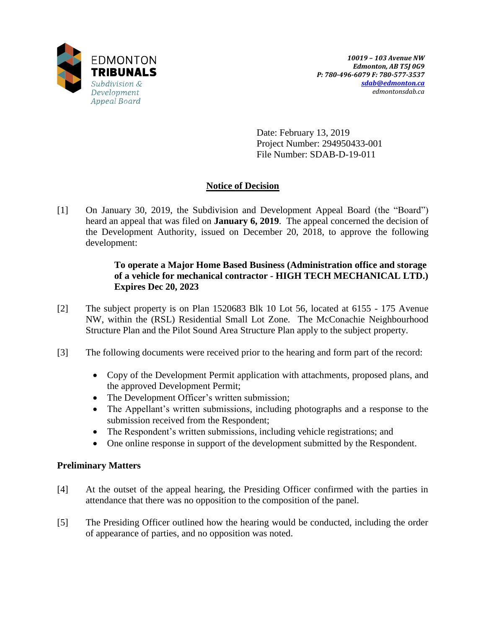

Date: February 13, 2019 Project Number: 294950433-001 File Number: SDAB-D-19-011

# **Notice of Decision**

[1] On January 30, 2019, the Subdivision and Development Appeal Board (the "Board") heard an appeal that was filed on **January 6, 2019**. The appeal concerned the decision of the Development Authority, issued on December 20, 2018, to approve the following development:

# **To operate a Major Home Based Business (Administration office and storage of a vehicle for mechanical contractor - HIGH TECH MECHANICAL LTD.) Expires Dec 20, 2023**

- [2] The subject property is on Plan 1520683 Blk 10 Lot 56, located at 6155 175 Avenue NW, within the (RSL) Residential Small Lot Zone. The McConachie Neighbourhood Structure Plan and the Pilot Sound Area Structure Plan apply to the subject property.
- [3] The following documents were received prior to the hearing and form part of the record:
	- Copy of the Development Permit application with attachments, proposed plans, and the approved Development Permit;
	- The Development Officer's written submission;
	- The Appellant's written submissions, including photographs and a response to the submission received from the Respondent;
	- The Respondent's written submissions, including vehicle registrations; and
	- One online response in support of the development submitted by the Respondent.

# **Preliminary Matters**

- [4] At the outset of the appeal hearing, the Presiding Officer confirmed with the parties in attendance that there was no opposition to the composition of the panel.
- [5] The Presiding Officer outlined how the hearing would be conducted, including the order of appearance of parties, and no opposition was noted.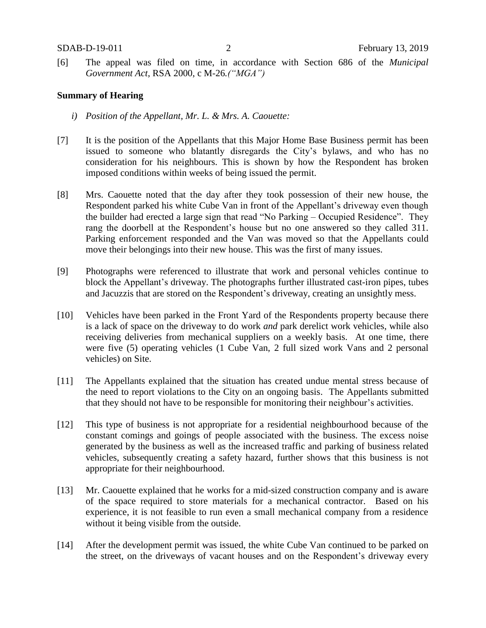[6] The appeal was filed on time, in accordance with Section 686 of the *Municipal Government Act*, RSA 2000, c M-26*.("MGA")*

### **Summary of Hearing**

- *i) Position of the Appellant, Mr. L. & Mrs. A. Caouette:*
- [7] It is the position of the Appellants that this Major Home Base Business permit has been issued to someone who blatantly disregards the City's bylaws, and who has no consideration for his neighbours. This is shown by how the Respondent has broken imposed conditions within weeks of being issued the permit.
- [8] Mrs. Caouette noted that the day after they took possession of their new house, the Respondent parked his white Cube Van in front of the Appellant's driveway even though the builder had erected a large sign that read "No Parking – Occupied Residence". They rang the doorbell at the Respondent's house but no one answered so they called 311. Parking enforcement responded and the Van was moved so that the Appellants could move their belongings into their new house. This was the first of many issues.
- [9] Photographs were referenced to illustrate that work and personal vehicles continue to block the Appellant's driveway. The photographs further illustrated cast-iron pipes, tubes and Jacuzzis that are stored on the Respondent's driveway, creating an unsightly mess.
- [10] Vehicles have been parked in the Front Yard of the Respondents property because there is a lack of space on the driveway to do work *and* park derelict work vehicles, while also receiving deliveries from mechanical suppliers on a weekly basis. At one time, there were five (5) operating vehicles (1 Cube Van, 2 full sized work Vans and 2 personal vehicles) on Site.
- [11] The Appellants explained that the situation has created undue mental stress because of the need to report violations to the City on an ongoing basis. The Appellants submitted that they should not have to be responsible for monitoring their neighbour's activities.
- [12] This type of business is not appropriate for a residential neighbourhood because of the constant comings and goings of people associated with the business. The excess noise generated by the business as well as the increased traffic and parking of business related vehicles, subsequently creating a safety hazard, further shows that this business is not appropriate for their neighbourhood.
- [13] Mr. Caouette explained that he works for a mid-sized construction company and is aware of the space required to store materials for a mechanical contractor. Based on his experience, it is not feasible to run even a small mechanical company from a residence without it being visible from the outside.
- [14] After the development permit was issued, the white Cube Van continued to be parked on the street, on the driveways of vacant houses and on the Respondent's driveway every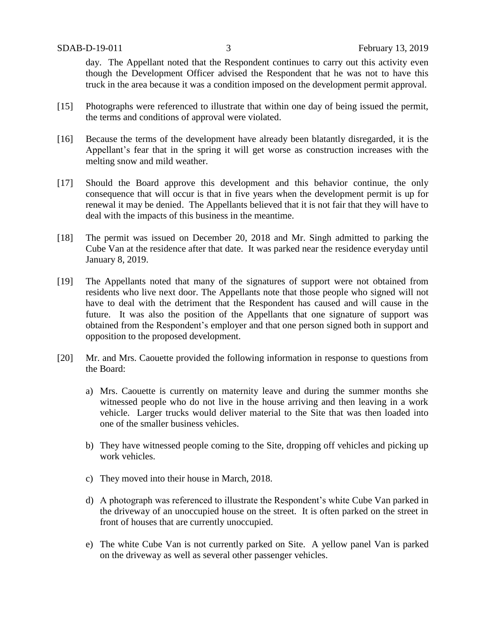day. The Appellant noted that the Respondent continues to carry out this activity even though the Development Officer advised the Respondent that he was not to have this truck in the area because it was a condition imposed on the development permit approval.

- [15] Photographs were referenced to illustrate that within one day of being issued the permit, the terms and conditions of approval were violated.
- [16] Because the terms of the development have already been blatantly disregarded, it is the Appellant's fear that in the spring it will get worse as construction increases with the melting snow and mild weather.
- [17] Should the Board approve this development and this behavior continue, the only consequence that will occur is that in five years when the development permit is up for renewal it may be denied. The Appellants believed that it is not fair that they will have to deal with the impacts of this business in the meantime.
- [18] The permit was issued on December 20, 2018 and Mr. Singh admitted to parking the Cube Van at the residence after that date. It was parked near the residence everyday until January 8, 2019.
- [19] The Appellants noted that many of the signatures of support were not obtained from residents who live next door. The Appellants note that those people who signed will not have to deal with the detriment that the Respondent has caused and will cause in the future. It was also the position of the Appellants that one signature of support was obtained from the Respondent's employer and that one person signed both in support and opposition to the proposed development.
- [20] Mr. and Mrs. Caouette provided the following information in response to questions from the Board:
	- a) Mrs. Caouette is currently on maternity leave and during the summer months she witnessed people who do not live in the house arriving and then leaving in a work vehicle. Larger trucks would deliver material to the Site that was then loaded into one of the smaller business vehicles.
	- b) They have witnessed people coming to the Site, dropping off vehicles and picking up work vehicles.
	- c) They moved into their house in March, 2018.
	- d) A photograph was referenced to illustrate the Respondent's white Cube Van parked in the driveway of an unoccupied house on the street. It is often parked on the street in front of houses that are currently unoccupied.
	- e) The white Cube Van is not currently parked on Site. A yellow panel Van is parked on the driveway as well as several other passenger vehicles.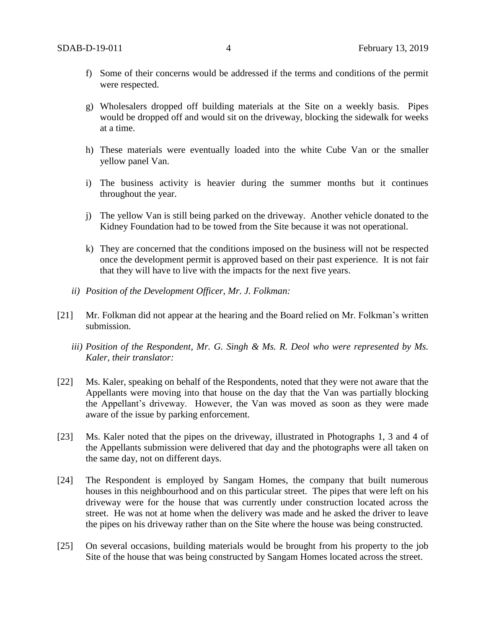- f) Some of their concerns would be addressed if the terms and conditions of the permit were respected.
- g) Wholesalers dropped off building materials at the Site on a weekly basis. Pipes would be dropped off and would sit on the driveway, blocking the sidewalk for weeks at a time.
- h) These materials were eventually loaded into the white Cube Van or the smaller yellow panel Van.
- i) The business activity is heavier during the summer months but it continues throughout the year.
- j) The yellow Van is still being parked on the driveway. Another vehicle donated to the Kidney Foundation had to be towed from the Site because it was not operational.
- k) They are concerned that the conditions imposed on the business will not be respected once the development permit is approved based on their past experience. It is not fair that they will have to live with the impacts for the next five years.
- *ii) Position of the Development Officer, Mr. J. Folkman:*
- [21] Mr. Folkman did not appear at the hearing and the Board relied on Mr. Folkman's written submission.
	- *iii) Position of the Respondent, Mr. G. Singh & Ms. R. Deol who were represented by Ms. Kaler, their translator:*
- [22] Ms. Kaler, speaking on behalf of the Respondents, noted that they were not aware that the Appellants were moving into that house on the day that the Van was partially blocking the Appellant's driveway. However, the Van was moved as soon as they were made aware of the issue by parking enforcement.
- [23] Ms. Kaler noted that the pipes on the driveway, illustrated in Photographs 1, 3 and 4 of the Appellants submission were delivered that day and the photographs were all taken on the same day, not on different days.
- [24] The Respondent is employed by Sangam Homes, the company that built numerous houses in this neighbourhood and on this particular street. The pipes that were left on his driveway were for the house that was currently under construction located across the street. He was not at home when the delivery was made and he asked the driver to leave the pipes on his driveway rather than on the Site where the house was being constructed.
- [25] On several occasions, building materials would be brought from his property to the job Site of the house that was being constructed by Sangam Homes located across the street.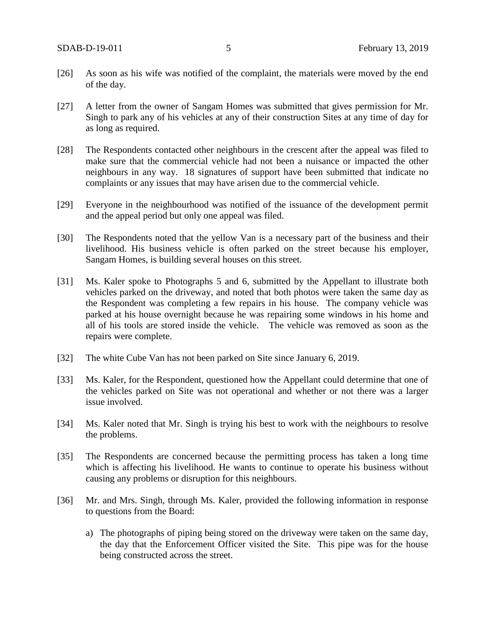- [26] As soon as his wife was notified of the complaint, the materials were moved by the end of the day.
- [27] A letter from the owner of Sangam Homes was submitted that gives permission for Mr. Singh to park any of his vehicles at any of their construction Sites at any time of day for as long as required.
- [28] The Respondents contacted other neighbours in the crescent after the appeal was filed to make sure that the commercial vehicle had not been a nuisance or impacted the other neighbours in any way. 18 signatures of support have been submitted that indicate no complaints or any issues that may have arisen due to the commercial vehicle.
- [29] Everyone in the neighbourhood was notified of the issuance of the development permit and the appeal period but only one appeal was filed.
- [30] The Respondents noted that the yellow Van is a necessary part of the business and their livelihood. His business vehicle is often parked on the street because his employer, Sangam Homes, is building several houses on this street.
- [31] Ms. Kaler spoke to Photographs 5 and 6, submitted by the Appellant to illustrate both vehicles parked on the driveway, and noted that both photos were taken the same day as the Respondent was completing a few repairs in his house. The company vehicle was parked at his house overnight because he was repairing some windows in his home and all of his tools are stored inside the vehicle. The vehicle was removed as soon as the repairs were complete.
- [32] The white Cube Van has not been parked on Site since January 6, 2019.
- [33] Ms. Kaler, for the Respondent, questioned how the Appellant could determine that one of the vehicles parked on Site was not operational and whether or not there was a larger issue involved.
- [34] Ms. Kaler noted that Mr. Singh is trying his best to work with the neighbours to resolve the problems.
- [35] The Respondents are concerned because the permitting process has taken a long time which is affecting his livelihood. He wants to continue to operate his business without causing any problems or disruption for this neighbours.
- [36] Mr. and Mrs. Singh, through Ms. Kaler, provided the following information in response to questions from the Board:
	- a) The photographs of piping being stored on the driveway were taken on the same day, the day that the Enforcement Officer visited the Site. This pipe was for the house being constructed across the street.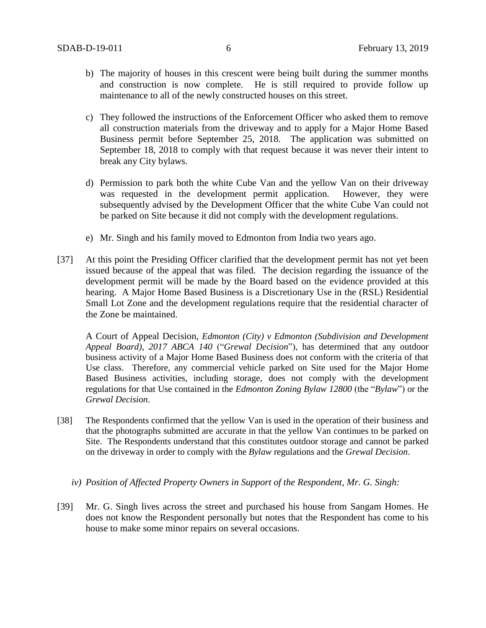- b) The majority of houses in this crescent were being built during the summer months and construction is now complete. He is still required to provide follow up maintenance to all of the newly constructed houses on this street.
- c) They followed the instructions of the Enforcement Officer who asked them to remove all construction materials from the driveway and to apply for a Major Home Based Business permit before September 25, 2018. The application was submitted on September 18, 2018 to comply with that request because it was never their intent to break any City bylaws.
- d) Permission to park both the white Cube Van and the yellow Van on their driveway was requested in the development permit application. However, they were subsequently advised by the Development Officer that the white Cube Van could not be parked on Site because it did not comply with the development regulations.
- e) Mr. Singh and his family moved to Edmonton from India two years ago.
- [37] At this point the Presiding Officer clarified that the development permit has not yet been issued because of the appeal that was filed. The decision regarding the issuance of the development permit will be made by the Board based on the evidence provided at this hearing. A Major Home Based Business is a Discretionary Use in the (RSL) Residential Small Lot Zone and the development regulations require that the residential character of the Zone be maintained.

A Court of Appeal Decision, *Edmonton (City) v Edmonton (Subdivision and Development Appeal Board)*, *2017 ABCA 140* ("*Grewal Decision*"), has determined that any outdoor business activity of a Major Home Based Business does not conform with the criteria of that Use class. Therefore, any commercial vehicle parked on Site used for the Major Home Based Business activities, including storage, does not comply with the development regulations for that Use contained in the *Edmonton Zoning Bylaw 12800* (the "*Bylaw*") or the *Grewal Decision*.

- [38] The Respondents confirmed that the yellow Van is used in the operation of their business and that the photographs submitted are accurate in that the yellow Van continues to be parked on Site. The Respondents understand that this constitutes outdoor storage and cannot be parked on the driveway in order to comply with the *Bylaw* regulations and the *Grewal Decision*.
	- *iv) Position of Affected Property Owners in Support of the Respondent, Mr. G. Singh:*
- [39] Mr. G. Singh lives across the street and purchased his house from Sangam Homes. He does not know the Respondent personally but notes that the Respondent has come to his house to make some minor repairs on several occasions.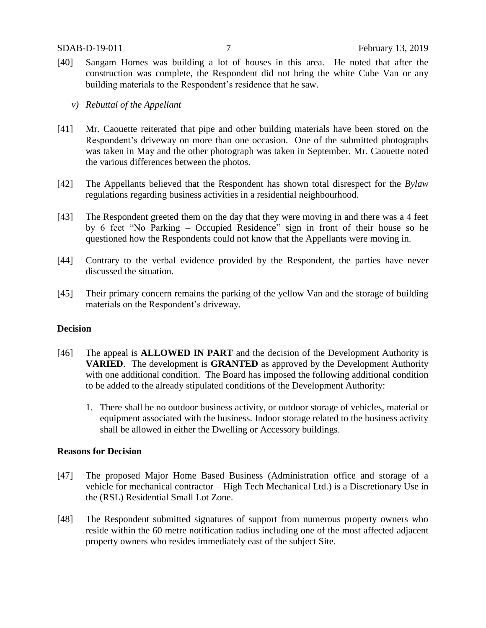- [40] Sangam Homes was building a lot of houses in this area. He noted that after the construction was complete, the Respondent did not bring the white Cube Van or any building materials to the Respondent's residence that he saw.
	- *v) Rebuttal of the Appellant*
- [41] Mr. Caouette reiterated that pipe and other building materials have been stored on the Respondent's driveway on more than one occasion. One of the submitted photographs was taken in May and the other photograph was taken in September. Mr. Caouette noted the various differences between the photos.
- [42] The Appellants believed that the Respondent has shown total disrespect for the *Bylaw* regulations regarding business activities in a residential neighbourhood.
- [43] The Respondent greeted them on the day that they were moving in and there was a 4 feet by 6 feet "No Parking – Occupied Residence" sign in front of their house so he questioned how the Respondents could not know that the Appellants were moving in.
- [44] Contrary to the verbal evidence provided by the Respondent, the parties have never discussed the situation.
- [45] Their primary concern remains the parking of the yellow Van and the storage of building materials on the Respondent's driveway.

### **Decision**

- [46] The appeal is **ALLOWED IN PART** and the decision of the Development Authority is **VARIED**. The development is **GRANTED** as approved by the Development Authority with one additional condition. The Board has imposed the following additional condition to be added to the already stipulated conditions of the Development Authority:
	- 1. There shall be no outdoor business activity, or outdoor storage of vehicles, material or equipment associated with the business. Indoor storage related to the business activity shall be allowed in either the Dwelling or Accessory buildings.

## **Reasons for Decision**

- [47] The proposed Major Home Based Business (Administration office and storage of a vehicle for mechanical contractor – High Tech Mechanical Ltd.) is a Discretionary Use in the (RSL) Residential Small Lot Zone.
- [48] The Respondent submitted signatures of support from numerous property owners who reside within the 60 metre notification radius including one of the most affected adjacent property owners who resides immediately east of the subject Site.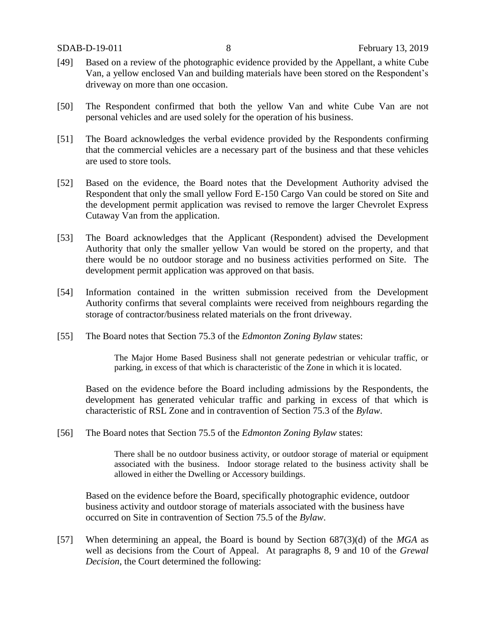- [49] Based on a review of the photographic evidence provided by the Appellant, a white Cube Van, a yellow enclosed Van and building materials have been stored on the Respondent's driveway on more than one occasion.
- [50] The Respondent confirmed that both the yellow Van and white Cube Van are not personal vehicles and are used solely for the operation of his business.
- [51] The Board acknowledges the verbal evidence provided by the Respondents confirming that the commercial vehicles are a necessary part of the business and that these vehicles are used to store tools.
- [52] Based on the evidence, the Board notes that the Development Authority advised the Respondent that only the small yellow Ford E-150 Cargo Van could be stored on Site and the development permit application was revised to remove the larger Chevrolet Express Cutaway Van from the application.
- [53] The Board acknowledges that the Applicant (Respondent) advised the Development Authority that only the smaller yellow Van would be stored on the property, and that there would be no outdoor storage and no business activities performed on Site. The development permit application was approved on that basis.
- [54] Information contained in the written submission received from the Development Authority confirms that several complaints were received from neighbours regarding the storage of contractor/business related materials on the front driveway.
- [55] The Board notes that Section 75.3 of the *Edmonton Zoning Bylaw* states:

The Major Home Based Business shall not generate pedestrian or vehicular traffic, or parking, in excess of that which is characteristic of the Zone in which it is located.

Based on the evidence before the Board including admissions by the Respondents, the development has generated vehicular traffic and parking in excess of that which is characteristic of RSL Zone and in contravention of Section 75.3 of the *Bylaw*.

[56] The Board notes that Section 75.5 of the *Edmonton Zoning Bylaw* states:

There shall be no outdoor business activity, or outdoor storage of material or equipment associated with the business. Indoor storage related to the business activity shall be allowed in either the Dwelling or Accessory buildings.

Based on the evidence before the Board, specifically photographic evidence, outdoor business activity and outdoor storage of materials associated with the business have occurred on Site in contravention of Section 75.5 of the *Bylaw*.

[57] When determining an appeal, the Board is bound by Section 687(3)(d) of the *MGA* as well as decisions from the Court of Appeal. At paragraphs 8, 9 and 10 of the *Grewal Decision*, the Court determined the following: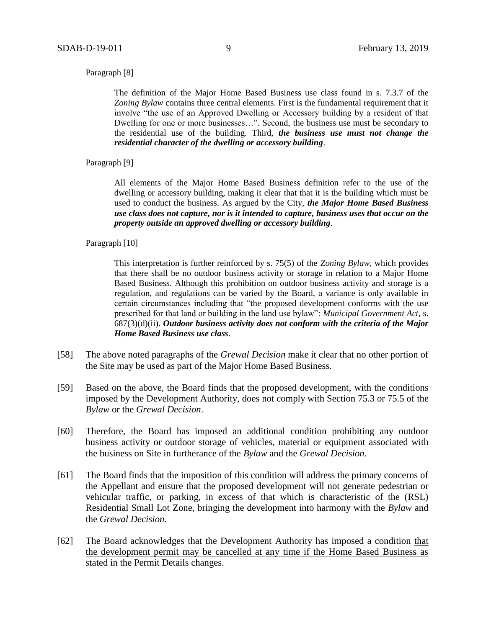#### Paragraph [8]

The definition of the Major Home Based Business use class found in s. 7.3.7 of the *Zoning Bylaw* contains three central elements. First is the fundamental requirement that it involve "the use of an Approved Dwelling or Accessory building by a resident of that Dwelling for one or more businesses…". Second, the business use must be secondary to the residential use of the building. Third, *the business use must not change the residential character of the dwelling or accessory building*.

Paragraph [9]

All elements of the Major Home Based Business definition refer to the use of the dwelling or accessory building, making it clear that that it is the building which must be used to conduct the business. As argued by the City, *the Major Home Based Business use class does not capture, nor is it intended to capture, business uses that occur on the property outside an approved dwelling or accessory building*.

Paragraph [10]

This interpretation is further reinforced by s. 75(5) of the *Zoning Bylaw*, which provides that there shall be no outdoor business activity or storage in relation to a Major Home Based Business. Although this prohibition on outdoor business activity and storage is a regulation, and regulations can be varied by the Board, a variance is only available in certain circumstances including that "the proposed development conforms with the use prescribed for that land or building in the land use bylaw": *Municipal Government Act*, s. 687(3)(d)(ii). *Outdoor business activity does not conform with the criteria of the Major Home Based Business use class*.

- [58] The above noted paragraphs of the *Grewal Decision* make it clear that no other portion of the Site may be used as part of the Major Home Based Business.
- [59] Based on the above, the Board finds that the proposed development, with the conditions imposed by the Development Authority, does not comply with Section 75.3 or 75.5 of the *Bylaw* or the *Grewal Decision*.
- [60] Therefore, the Board has imposed an additional condition prohibiting any outdoor business activity or outdoor storage of vehicles, material or equipment associated with the business on Site in furtherance of the *Bylaw* and the *Grewal Decision*.
- [61] The Board finds that the imposition of this condition will address the primary concerns of the Appellant and ensure that the proposed development will not generate pedestrian or vehicular traffic, or parking, in excess of that which is characteristic of the (RSL) Residential Small Lot Zone, bringing the development into harmony with the *Bylaw* and the *Grewal Decision*.
- [62] The Board acknowledges that the Development Authority has imposed a condition that the development permit may be cancelled at any time if the Home Based Business as stated in the Permit Details changes.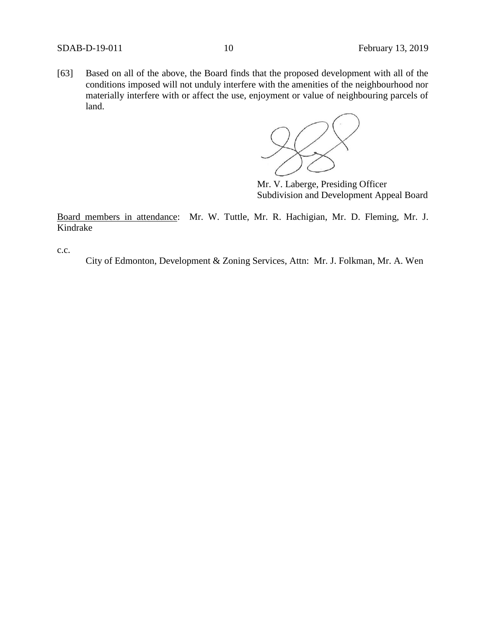[63] Based on all of the above, the Board finds that the proposed development with all of the conditions imposed will not unduly interfere with the amenities of the neighbourhood nor materially interfere with or affect the use, enjoyment or value of neighbouring parcels of land.



Mr. V. Laberge, Presiding Officer Subdivision and Development Appeal Board

Board members in attendance: Mr. W. Tuttle, Mr. R. Hachigian, Mr. D. Fleming, Mr. J. Kindrake

c.c.

City of Edmonton, Development & Zoning Services, Attn: Mr. J. Folkman, Mr. A. Wen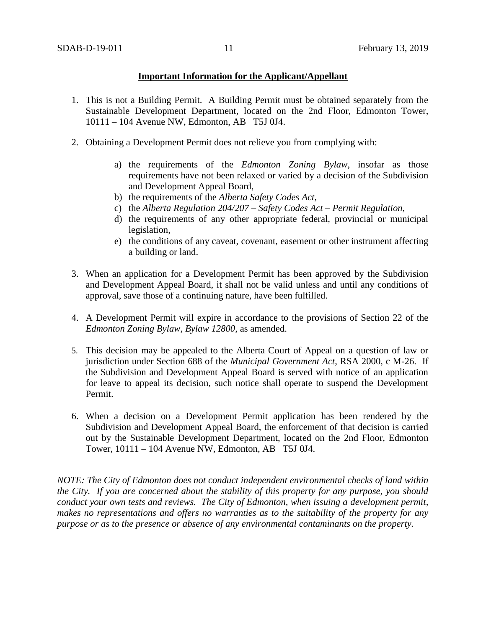## **Important Information for the Applicant/Appellant**

- 1. This is not a Building Permit. A Building Permit must be obtained separately from the Sustainable Development Department, located on the 2nd Floor, Edmonton Tower, 10111 – 104 Avenue NW, Edmonton, AB T5J 0J4.
- 2. Obtaining a Development Permit does not relieve you from complying with:
	- a) the requirements of the *Edmonton Zoning Bylaw*, insofar as those requirements have not been relaxed or varied by a decision of the Subdivision and Development Appeal Board,
	- b) the requirements of the *Alberta Safety Codes Act*,
	- c) the *Alberta Regulation 204/207 – Safety Codes Act – Permit Regulation*,
	- d) the requirements of any other appropriate federal, provincial or municipal legislation,
	- e) the conditions of any caveat, covenant, easement or other instrument affecting a building or land.
- 3. When an application for a Development Permit has been approved by the Subdivision and Development Appeal Board, it shall not be valid unless and until any conditions of approval, save those of a continuing nature, have been fulfilled.
- 4. A Development Permit will expire in accordance to the provisions of Section 22 of the *Edmonton Zoning Bylaw, Bylaw 12800*, as amended.
- 5. This decision may be appealed to the Alberta Court of Appeal on a question of law or jurisdiction under Section 688 of the *Municipal Government Act*, RSA 2000, c M-26. If the Subdivision and Development Appeal Board is served with notice of an application for leave to appeal its decision, such notice shall operate to suspend the Development Permit.
- 6. When a decision on a Development Permit application has been rendered by the Subdivision and Development Appeal Board, the enforcement of that decision is carried out by the Sustainable Development Department, located on the 2nd Floor, Edmonton Tower, 10111 – 104 Avenue NW, Edmonton, AB T5J 0J4.

*NOTE: The City of Edmonton does not conduct independent environmental checks of land within the City. If you are concerned about the stability of this property for any purpose, you should conduct your own tests and reviews. The City of Edmonton, when issuing a development permit, makes no representations and offers no warranties as to the suitability of the property for any purpose or as to the presence or absence of any environmental contaminants on the property.*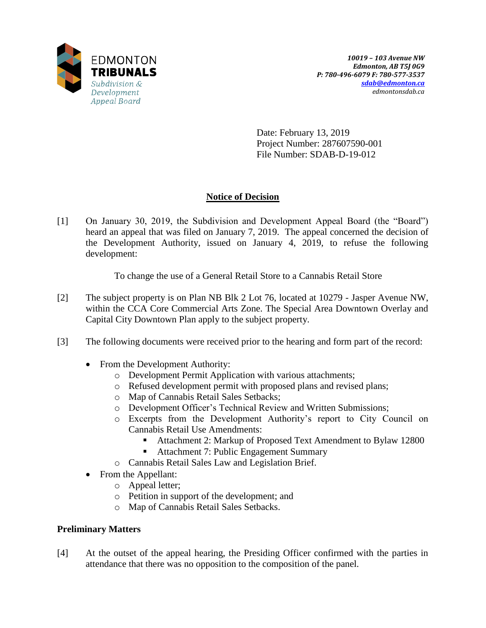

Date: February 13, 2019 Project Number: 287607590-001 File Number: SDAB-D-19-012

# **Notice of Decision**

[1] On January 30, 2019, the Subdivision and Development Appeal Board (the "Board") heard an appeal that was filed on January 7, 2019. The appeal concerned the decision of the Development Authority, issued on January 4, 2019, to refuse the following development:

To change the use of a General Retail Store to a Cannabis Retail Store

- [2] The subject property is on Plan NB Blk 2 Lot 76, located at 10279 Jasper Avenue NW, within the CCA Core Commercial Arts Zone. The Special Area Downtown Overlay and Capital City Downtown Plan apply to the subject property.
- [3] The following documents were received prior to the hearing and form part of the record:
	- From the Development Authority:
		- o Development Permit Application with various attachments;
		- o Refused development permit with proposed plans and revised plans;
		- o Map of Cannabis Retail Sales Setbacks;
		- o Development Officer's Technical Review and Written Submissions;
		- o Excerpts from the Development Authority's report to City Council on Cannabis Retail Use Amendments:
			- Attachment 2: Markup of Proposed Text Amendment to Bylaw 12800
			- Attachment 7: Public Engagement Summary
		- o Cannabis Retail Sales Law and Legislation Brief.
	- From the Appellant:
		- o Appeal letter;
		- o Petition in support of the development; and
		- o Map of Cannabis Retail Sales Setbacks.

# **Preliminary Matters**

[4] At the outset of the appeal hearing, the Presiding Officer confirmed with the parties in attendance that there was no opposition to the composition of the panel.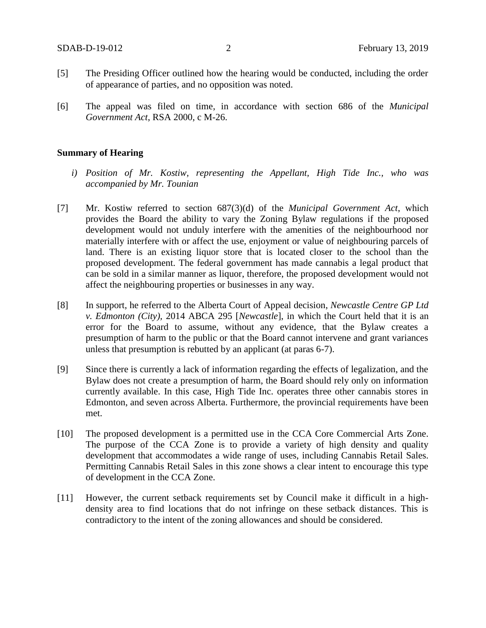- [5] The Presiding Officer outlined how the hearing would be conducted, including the order of appearance of parties, and no opposition was noted.
- [6] The appeal was filed on time, in accordance with section 686 of the *Municipal Government Act*, RSA 2000, c M-26.

### **Summary of Hearing**

- *i) Position of Mr. Kostiw, representing the Appellant, High Tide Inc., who was accompanied by Mr. Tounian*
- [7] Mr. Kostiw referred to section 687(3)(d) of the *Municipal Government Act*, which provides the Board the ability to vary the Zoning Bylaw regulations if the proposed development would not unduly interfere with the amenities of the neighbourhood nor materially interfere with or affect the use, enjoyment or value of neighbouring parcels of land. There is an existing liquor store that is located closer to the school than the proposed development. The federal government has made cannabis a legal product that can be sold in a similar manner as liquor, therefore, the proposed development would not affect the neighbouring properties or businesses in any way.
- [8] In support, he referred to the Alberta Court of Appeal decision, *Newcastle Centre GP Ltd v. Edmonton (City),* 2014 ABCA 295 [*Newcastle*], in which the Court held that it is an error for the Board to assume, without any evidence, that the Bylaw creates a presumption of harm to the public or that the Board cannot intervene and grant variances unless that presumption is rebutted by an applicant (at paras 6-7).
- [9] Since there is currently a lack of information regarding the effects of legalization, and the Bylaw does not create a presumption of harm, the Board should rely only on information currently available. In this case, High Tide Inc. operates three other cannabis stores in Edmonton, and seven across Alberta. Furthermore, the provincial requirements have been met.
- [10] The proposed development is a permitted use in the CCA Core Commercial Arts Zone. The purpose of the CCA Zone is to provide a variety of high density and quality development that accommodates a wide range of uses, including Cannabis Retail Sales. Permitting Cannabis Retail Sales in this zone shows a clear intent to encourage this type of development in the CCA Zone.
- [11] However, the current setback requirements set by Council make it difficult in a highdensity area to find locations that do not infringe on these setback distances. This is contradictory to the intent of the zoning allowances and should be considered.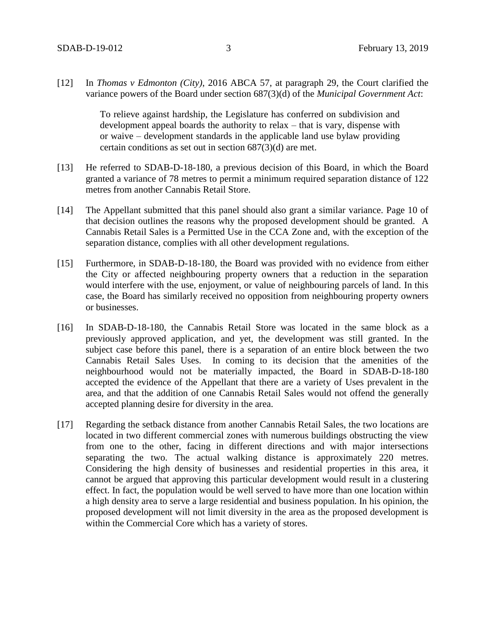[12] In *Thomas v Edmonton (City)*, 2016 ABCA 57, at paragraph 29, the Court clarified the variance powers of the Board under section 687(3)(d) of the *Municipal Government Act*:

> To relieve against hardship, the Legislature has conferred on subdivision and development appeal boards the authority to relax – that is vary, dispense with or waive – development standards in the applicable land use bylaw providing certain conditions as set out in section 687(3)(d) are met.

- [13] He referred to SDAB-D-18-180, a previous decision of this Board, in which the Board granted a variance of 78 metres to permit a minimum required separation distance of 122 metres from another Cannabis Retail Store.
- [14] The Appellant submitted that this panel should also grant a similar variance. Page 10 of that decision outlines the reasons why the proposed development should be granted. A Cannabis Retail Sales is a Permitted Use in the CCA Zone and, with the exception of the separation distance, complies with all other development regulations.
- [15] Furthermore, in SDAB-D-18-180, the Board was provided with no evidence from either the City or affected neighbouring property owners that a reduction in the separation would interfere with the use, enjoyment, or value of neighbouring parcels of land. In this case, the Board has similarly received no opposition from neighbouring property owners or businesses.
- [16] In SDAB-D-18-180, the Cannabis Retail Store was located in the same block as a previously approved application, and yet, the development was still granted. In the subject case before this panel, there is a separation of an entire block between the two Cannabis Retail Sales Uses. In coming to its decision that the amenities of the neighbourhood would not be materially impacted, the Board in SDAB-D-18-180 accepted the evidence of the Appellant that there are a variety of Uses prevalent in the area, and that the addition of one Cannabis Retail Sales would not offend the generally accepted planning desire for diversity in the area.
- [17] Regarding the setback distance from another Cannabis Retail Sales, the two locations are located in two different commercial zones with numerous buildings obstructing the view from one to the other, facing in different directions and with major intersections separating the two. The actual walking distance is approximately 220 metres. Considering the high density of businesses and residential properties in this area, it cannot be argued that approving this particular development would result in a clustering effect. In fact, the population would be well served to have more than one location within a high density area to serve a large residential and business population. In his opinion, the proposed development will not limit diversity in the area as the proposed development is within the Commercial Core which has a variety of stores.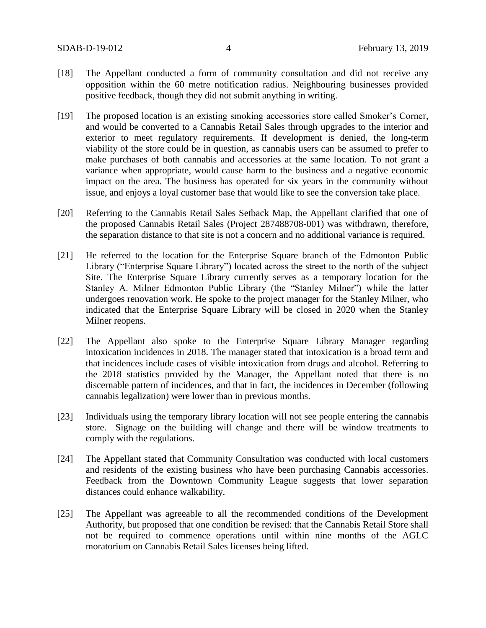- [18] The Appellant conducted a form of community consultation and did not receive any opposition within the 60 metre notification radius. Neighbouring businesses provided positive feedback, though they did not submit anything in writing.
- [19] The proposed location is an existing smoking accessories store called Smoker's Corner, and would be converted to a Cannabis Retail Sales through upgrades to the interior and exterior to meet regulatory requirements. If development is denied, the long-term viability of the store could be in question, as cannabis users can be assumed to prefer to make purchases of both cannabis and accessories at the same location. To not grant a variance when appropriate, would cause harm to the business and a negative economic impact on the area. The business has operated for six years in the community without issue, and enjoys a loyal customer base that would like to see the conversion take place.
- [20] Referring to the Cannabis Retail Sales Setback Map, the Appellant clarified that one of the proposed Cannabis Retail Sales (Project 287488708-001) was withdrawn, therefore, the separation distance to that site is not a concern and no additional variance is required.
- [21] He referred to the location for the Enterprise Square branch of the Edmonton Public Library ("Enterprise Square Library") located across the street to the north of the subject Site. The Enterprise Square Library currently serves as a temporary location for the Stanley A. Milner Edmonton Public Library (the "Stanley Milner") while the latter undergoes renovation work. He spoke to the project manager for the Stanley Milner, who indicated that the Enterprise Square Library will be closed in 2020 when the Stanley Milner reopens.
- [22] The Appellant also spoke to the Enterprise Square Library Manager regarding intoxication incidences in 2018. The manager stated that intoxication is a broad term and that incidences include cases of visible intoxication from drugs and alcohol. Referring to the 2018 statistics provided by the Manager, the Appellant noted that there is no discernable pattern of incidences, and that in fact, the incidences in December (following cannabis legalization) were lower than in previous months.
- [23] Individuals using the temporary library location will not see people entering the cannabis store. Signage on the building will change and there will be window treatments to comply with the regulations.
- [24] The Appellant stated that Community Consultation was conducted with local customers and residents of the existing business who have been purchasing Cannabis accessories. Feedback from the Downtown Community League suggests that lower separation distances could enhance walkability.
- [25] The Appellant was agreeable to all the recommended conditions of the Development Authority, but proposed that one condition be revised: that the Cannabis Retail Store shall not be required to commence operations until within nine months of the AGLC moratorium on Cannabis Retail Sales licenses being lifted.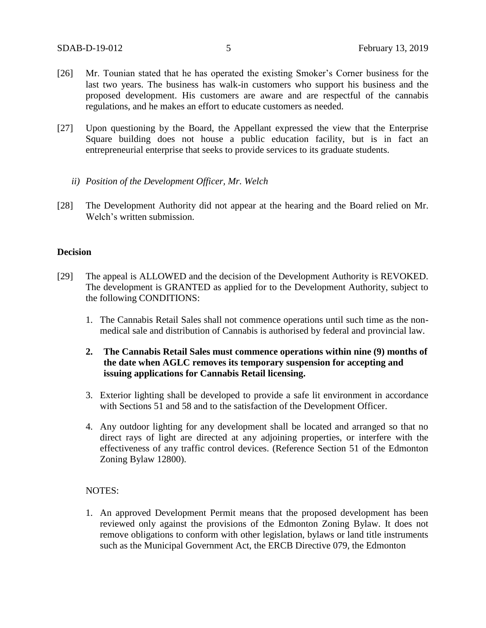- [26] Mr. Tounian stated that he has operated the existing Smoker's Corner business for the last two years. The business has walk-in customers who support his business and the proposed development. His customers are aware and are respectful of the cannabis regulations, and he makes an effort to educate customers as needed.
- [27] Upon questioning by the Board, the Appellant expressed the view that the Enterprise Square building does not house a public education facility, but is in fact an entrepreneurial enterprise that seeks to provide services to its graduate students.
	- *ii) Position of the Development Officer, Mr. Welch*
- [28] The Development Authority did not appear at the hearing and the Board relied on Mr. Welch's written submission.

### **Decision**

- [29] The appeal is ALLOWED and the decision of the Development Authority is REVOKED. The development is GRANTED as applied for to the Development Authority, subject to the following CONDITIONS:
	- 1. The Cannabis Retail Sales shall not commence operations until such time as the nonmedical sale and distribution of Cannabis is authorised by federal and provincial law.
	- **2. The Cannabis Retail Sales must commence operations within nine (9) months of the date when AGLC removes its temporary suspension for accepting and issuing applications for Cannabis Retail licensing.**
	- 3. Exterior lighting shall be developed to provide a safe lit environment in accordance with Sections 51 and 58 and to the satisfaction of the Development Officer.
	- 4. Any outdoor lighting for any development shall be located and arranged so that no direct rays of light are directed at any adjoining properties, or interfere with the effectiveness of any traffic control devices. (Reference Section 51 of the Edmonton Zoning Bylaw 12800).

### NOTES:

1. An approved Development Permit means that the proposed development has been reviewed only against the provisions of the Edmonton Zoning Bylaw. It does not remove obligations to conform with other legislation, bylaws or land title instruments such as the Municipal Government Act, the ERCB Directive 079, the Edmonton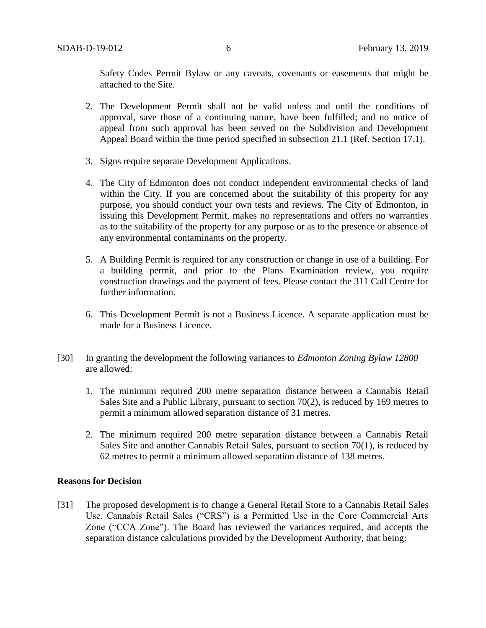Safety Codes Permit Bylaw or any caveats, covenants or easements that might be attached to the Site.

- 2. The Development Permit shall not be valid unless and until the conditions of approval, save those of a continuing nature, have been fulfilled; and no notice of appeal from such approval has been served on the Subdivision and Development Appeal Board within the time period specified in subsection 21.1 (Ref. Section 17.1).
- 3. Signs require separate Development Applications.
- 4. The City of Edmonton does not conduct independent environmental checks of land within the City. If you are concerned about the suitability of this property for any purpose, you should conduct your own tests and reviews. The City of Edmonton, in issuing this Development Permit, makes no representations and offers no warranties as to the suitability of the property for any purpose or as to the presence or absence of any environmental contaminants on the property.
- 5. A Building Permit is required for any construction or change in use of a building. For a building permit, and prior to the Plans Examination review, you require construction drawings and the payment of fees. Please contact the 311 Call Centre for further information.
- 6. This Development Permit is not a Business Licence. A separate application must be made for a Business Licence.
- [30] In granting the development the following variances to *Edmonton Zoning Bylaw 12800*  are allowed:
	- 1. The minimum required 200 metre separation distance between a Cannabis Retail Sales Site and a Public Library, pursuant to section 70(2), is reduced by 169 metres to permit a minimum allowed separation distance of 31 metres.
	- 2. The minimum required 200 metre separation distance between a Cannabis Retail Sales Site and another Cannabis Retail Sales, pursuant to section 70(1), is reduced by 62 metres to permit a minimum allowed separation distance of 138 metres.

## **Reasons for Decision**

[31] The proposed development is to change a General Retail Store to a Cannabis Retail Sales Use. Cannabis Retail Sales ("CRS") is a Permitted Use in the Core Commercial Arts Zone ("CCA Zone"). The Board has reviewed the variances required, and accepts the separation distance calculations provided by the Development Authority, that being: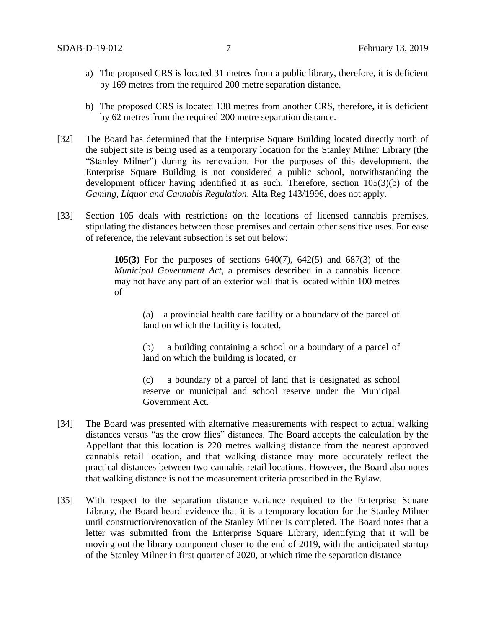- a) The proposed CRS is located 31 metres from a public library, therefore, it is deficient by 169 metres from the required 200 metre separation distance.
- b) The proposed CRS is located 138 metres from another CRS, therefore, it is deficient by 62 metres from the required 200 metre separation distance.
- [32] The Board has determined that the Enterprise Square Building located directly north of the subject site is being used as a temporary location for the Stanley Milner Library (the "Stanley Milner") during its renovation. For the purposes of this development, the Enterprise Square Building is not considered a public school, notwithstanding the development officer having identified it as such. Therefore, section 105(3)(b) of the *Gaming, Liquor and Cannabis Regulation,* Alta Reg 143/1996, does not apply.
- [33] Section 105 deals with restrictions on the locations of licensed cannabis premises, stipulating the distances between those premises and certain other sensitive uses. For ease of reference, the relevant subsection is set out below:

**105(3)** For the purposes of sections 640(7), 642(5) and 687(3) of the *Municipal Government Act*, a premises described in a cannabis licence may not have any part of an exterior wall that is located within 100 metres of

> (a) a provincial health care facility or a boundary of the parcel of land on which the facility is located,

> (b) a building containing a school or a boundary of a parcel of land on which the building is located, or

> (c) a boundary of a parcel of land that is designated as school reserve or municipal and school reserve under the Municipal Government Act.

- [34] The Board was presented with alternative measurements with respect to actual walking distances versus "as the crow flies" distances. The Board accepts the calculation by the Appellant that this location is 220 metres walking distance from the nearest approved cannabis retail location, and that walking distance may more accurately reflect the practical distances between two cannabis retail locations. However, the Board also notes that walking distance is not the measurement criteria prescribed in the Bylaw.
- [35] With respect to the separation distance variance required to the Enterprise Square Library, the Board heard evidence that it is a temporary location for the Stanley Milner until construction/renovation of the Stanley Milner is completed. The Board notes that a letter was submitted from the Enterprise Square Library, identifying that it will be moving out the library component closer to the end of 2019, with the anticipated startup of the Stanley Milner in first quarter of 2020, at which time the separation distance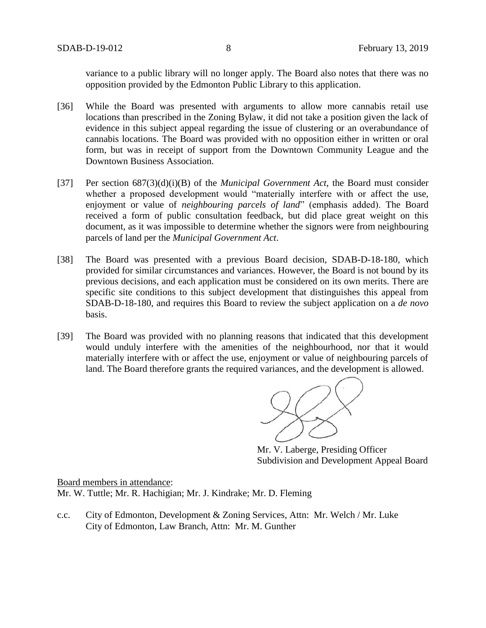variance to a public library will no longer apply. The Board also notes that there was no opposition provided by the Edmonton Public Library to this application.

- [36] While the Board was presented with arguments to allow more cannabis retail use locations than prescribed in the Zoning Bylaw, it did not take a position given the lack of evidence in this subject appeal regarding the issue of clustering or an overabundance of cannabis locations. The Board was provided with no opposition either in written or oral form, but was in receipt of support from the Downtown Community League and the Downtown Business Association.
- [37] Per section 687(3)(d)(i)(B) of the *Municipal Government Act*, the Board must consider whether a proposed development would "materially interfere with or affect the use, enjoyment or value of *neighbouring parcels of land*" (emphasis added). The Board received a form of public consultation feedback, but did place great weight on this document, as it was impossible to determine whether the signors were from neighbouring parcels of land per the *Municipal Government Act*.
- [38] The Board was presented with a previous Board decision, SDAB-D-18-180, which provided for similar circumstances and variances. However, the Board is not bound by its previous decisions, and each application must be considered on its own merits. There are specific site conditions to this subject development that distinguishes this appeal from SDAB-D-18-180, and requires this Board to review the subject application on a *de novo* basis.
- [39] The Board was provided with no planning reasons that indicated that this development would unduly interfere with the amenities of the neighbourhood, nor that it would materially interfere with or affect the use, enjoyment or value of neighbouring parcels of land. The Board therefore grants the required variances, and the development is allowed.

Mr. V. Laberge, Presiding Officer Subdivision and Development Appeal Board

Board members in attendance: Mr. W. Tuttle; Mr. R. Hachigian; Mr. J. Kindrake; Mr. D. Fleming

c.c. City of Edmonton, Development & Zoning Services, Attn: Mr. Welch / Mr. Luke City of Edmonton, Law Branch, Attn: Mr. M. Gunther